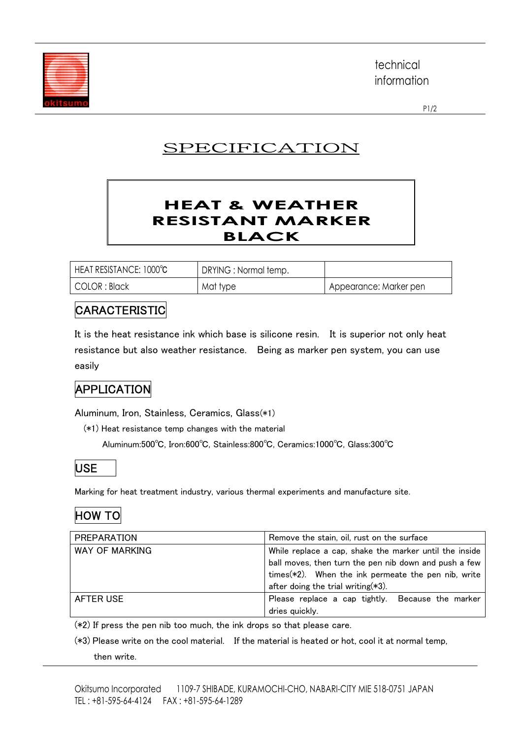

technical information

P1/2

# SPECIFICATION

#### **HEAT & WEATHER RESISTANT MARKER BLACK**

| HEAT RESISTANCE: 1000°C | DRYING : Normal temp. |                        |
|-------------------------|-----------------------|------------------------|
| COLOR : Black           | Mat type              | Appearance: Marker pen |

#### CARACTERISTIC

It is the heat resistance ink which base is silicone resin. It is superior not only heat resistance but also weather resistance. Being as marker pen system, you can use easily

### APPLICATION

Aluminum, Iron, Stainless, Ceramics, Glass(\*1)

(\*1) Heat resistance temp changes with the material

Aluminum:500℃, Iron:600℃, Stainless:800℃, Ceramics:1000℃, Glass:300℃



Marking for heat treatment industry, various thermal experiments and manufacture site.

### HOW TO

| <b>PREPARATION</b> | Remove the stain, oil, rust on the surface             |
|--------------------|--------------------------------------------------------|
| WAY OF MARKING     | While replace a cap, shake the marker until the inside |
|                    | ball moves, then turn the pen nib down and push a few  |
|                    | times(*2). When the ink permeate the pen nib, write    |
|                    | after doing the trial writing $(*3)$ .                 |
| AFTER USE          | Please replace a cap tightly. Because the marker       |
|                    | dries quickly.                                         |

(\*2) If press the pen nib too much, the ink drops so that please care.

(\*3) Please write on the cool material. If the material is heated or hot, cool it at normal temp, then write.